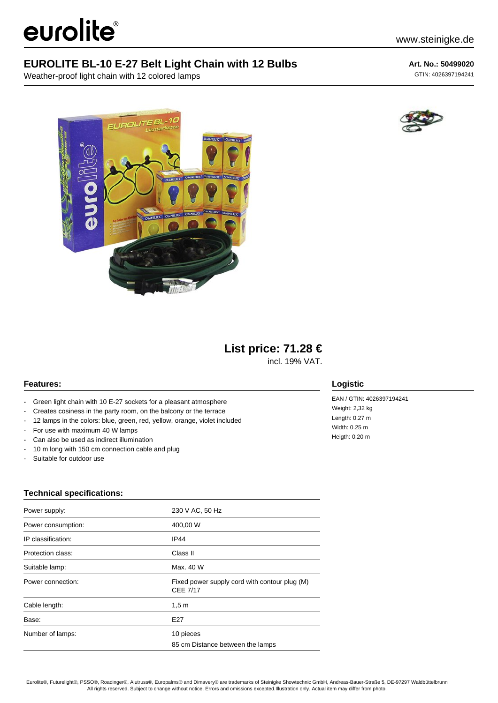# eurolite®

Weather-proof light chain with 12 colored lamps





### **List price: 71.28 €**

incl. 19% VAT.

#### **Features:**

- Green light chain with 10 E-27 sockets for a pleasant atmosphere
- Creates cosiness in the party room, on the balcony or the terrace
- 12 lamps in the colors: blue, green, red, yellow, orange, violet included
- For use with maximum 40 W lamps
- Can also be used as indirect illumination
- 10 m long with 150 cm connection cable and plug
- Suitable for outdoor use

## **Technical specifications:**

| Power supply:      | 230 V AC, 50 Hz                                                  |
|--------------------|------------------------------------------------------------------|
| Power consumption: | 400,00 W                                                         |
| IP classification: | IP44                                                             |
| Protection class:  | Class II                                                         |
| Suitable lamp:     | Max. 40 W                                                        |
| Power connection:  | Fixed power supply cord with contour plug (M)<br><b>CEE 7/17</b> |
| Cable length:      | 1,5m                                                             |
| Base:              | E27                                                              |
| Number of lamps:   | 10 pieces<br>85 cm Distance between the lamps                    |



#### **Logistic**

EAN / GTIN: 4026397194241 Weight: 2,32 kg Length: 0.27 m Width: 0.25 m Heigth: 0.20 m

Eurolite®, Futurelight®, PSSO®, Roadinger®, Alutruss®, Europalms® and Dimavery® are trademarks of Steinigke Showtechnic GmbH, Andreas-Bauer-Straße 5, DE-97297 Waldbüttelbrunn All rights reserved. Subject to change without notice. Errors and omissions excepted.Illustration only. Actual item may differ from photo.